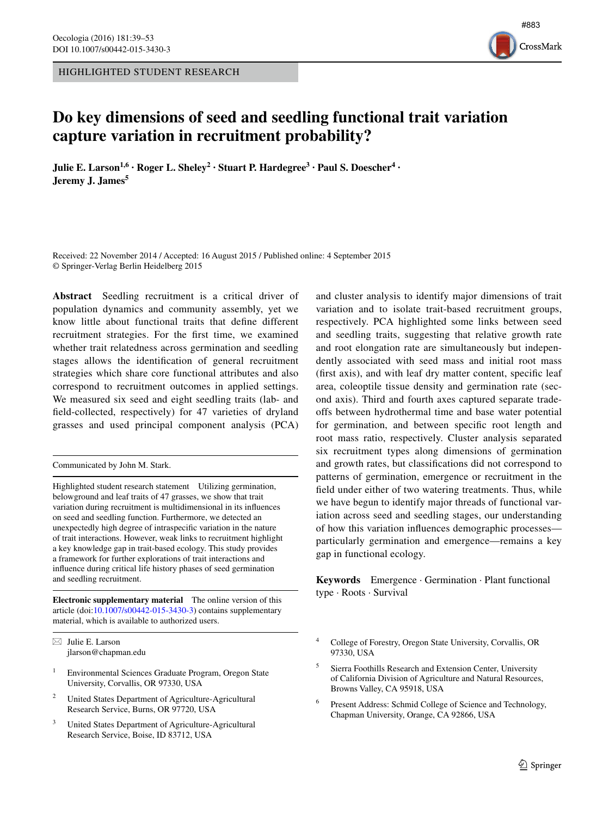HIGHLIGHTED STUDENT RESEARCH



# **Do key dimensions of seed and seedling functional trait variation capture variation in recruitment probability?**

**Julie E. Larson1,6 · Roger L. Sheley2 · Stuart P. Hardegree3 · Paul S. Doescher4 · Jeremy J. James<sup>5</sup>**

Received: 22 November 2014 / Accepted: 16 August 2015 / Published online: 4 September 2015 © Springer-Verlag Berlin Heidelberg 2015

**Abstract** Seedling recruitment is a critical driver of population dynamics and community assembly, yet we know little about functional traits that define different recruitment strategies. For the first time, we examined whether trait relatedness across germination and seedling stages allows the identification of general recruitment strategies which share core functional attributes and also correspond to recruitment outcomes in applied settings. We measured six seed and eight seedling traits (lab- and field-collected, respectively) for 47 varieties of dryland grasses and used principal component analysis (PCA)

Communicated by John M. Stark.

Highlighted student research statement Utilizing germination, belowground and leaf traits of 47 grasses, we show that trait variation during recruitment is multidimensional in its influences on seed and seedling function. Furthermore, we detected an unexpectedly high degree of intraspecific variation in the nature of trait interactions. However, weak links to recruitment highlight a key knowledge gap in trait-based ecology. This study provides a framework for further explorations of trait interactions and influence during critical life history phases of seed germination and seedling recruitment.

**Electronic supplementary material** The online version of this article (doi[:10.1007/s00442-015-3430-3](http://dx.doi.org/10.1007/s00442-015-3430-3)) contains supplementary material, which is available to authorized users.

 $\boxtimes$  Julie E. Larson jlarson@chapman.edu

- <sup>1</sup> Environmental Sciences Graduate Program, Oregon State University, Corvallis, OR 97330, USA
- <sup>2</sup> United States Department of Agriculture-Agricultural Research Service, Burns, OR 97720, USA
- United States Department of Agriculture-Agricultural Research Service, Boise, ID 83712, USA

and cluster analysis to identify major dimensions of trait variation and to isolate trait-based recruitment groups, respectively. PCA highlighted some links between seed and seedling traits, suggesting that relative growth rate and root elongation rate are simultaneously but independently associated with seed mass and initial root mass (first axis), and with leaf dry matter content, specific leaf area, coleoptile tissue density and germination rate (second axis). Third and fourth axes captured separate tradeoffs between hydrothermal time and base water potential for germination, and between specific root length and root mass ratio, respectively. Cluster analysis separated six recruitment types along dimensions of germination and growth rates, but classifications did not correspond to patterns of germination, emergence or recruitment in the field under either of two watering treatments. Thus, while we have begun to identify major threads of functional variation across seed and seedling stages, our understanding of how this variation influences demographic processes particularly germination and emergence—remains a key gap in functional ecology.

**Keywords** Emergence · Germination · Plant functional type · Roots · Survival

<sup>4</sup> College of Forestry, Oregon State University, Corvallis, OR 97330, USA

<sup>5</sup> Sierra Foothills Research and Extension Center, University of California Division of Agriculture and Natural Resources, Browns Valley, CA 95918, USA

<sup>6</sup> Present Address: Schmid College of Science and Technology, Chapman University, Orange, CA 92866, USA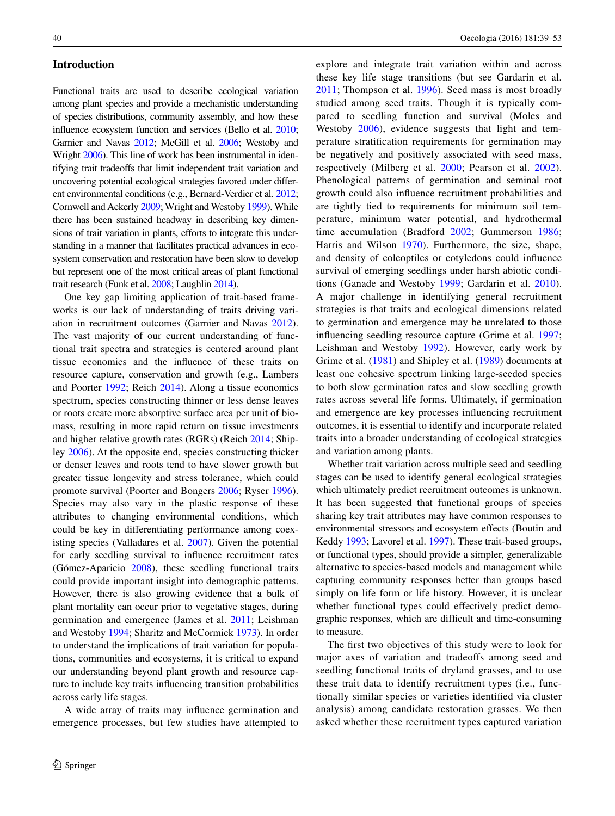# **Introduction**

Functional traits are used to describe ecological variation among plant species and provide a mechanistic understanding of species distributions, community assembly, and how these influence ecosystem function and services (Bello et al. [2010](#page-12-0); Garnier and Navas [2012;](#page-13-0) McGill et al. [2006](#page-13-1); Westoby and Wright [2006](#page-14-0)). This line of work has been instrumental in identifying trait tradeoffs that limit independent trait variation and uncovering potential ecological strategies favored under different environmental conditions (e.g., Bernard-Verdier et al. [2012](#page-12-1); Cornwell and Ackerly [2009](#page-12-2); Wright and Westoby [1999](#page-14-1)). While there has been sustained headway in describing key dimensions of trait variation in plants, efforts to integrate this understanding in a manner that facilitates practical advances in ecosystem conservation and restoration have been slow to develop but represent one of the most critical areas of plant functional trait research (Funk et al. [2008;](#page-13-2) Laughlin [2014\)](#page-13-3).

One key gap limiting application of trait-based frameworks is our lack of understanding of traits driving variation in recruitment outcomes (Garnier and Navas [2012](#page-13-0)). The vast majority of our current understanding of functional trait spectra and strategies is centered around plant tissue economics and the influence of these traits on resource capture, conservation and growth (e.g., Lambers and Poorter [1992;](#page-13-4) Reich [2014\)](#page-14-2). Along a tissue economics spectrum, species constructing thinner or less dense leaves or roots create more absorptive surface area per unit of biomass, resulting in more rapid return on tissue investments and higher relative growth rates (RGRs) (Reich [2014](#page-14-2); Shipley [2006\)](#page-14-3). At the opposite end, species constructing thicker or denser leaves and roots tend to have slower growth but greater tissue longevity and stress tolerance, which could promote survival (Poorter and Bongers [2006](#page-13-5); Ryser [1996](#page-14-4)). Species may also vary in the plastic response of these attributes to changing environmental conditions, which could be key in differentiating performance among coexisting species (Valladares et al. [2007\)](#page-14-5). Given the potential for early seedling survival to influence recruitment rates (Gómez-Aparicio [2008](#page-13-6)), these seedling functional traits could provide important insight into demographic patterns. However, there is also growing evidence that a bulk of plant mortality can occur prior to vegetative stages, during germination and emergence (James et al. [2011](#page-13-7); Leishman and Westoby [1994;](#page-13-8) Sharitz and McCormick [1973\)](#page-14-6). In order to understand the implications of trait variation for populations, communities and ecosystems, it is critical to expand our understanding beyond plant growth and resource capture to include key traits influencing transition probabilities across early life stages.

A wide array of traits may influence germination and emergence processes, but few studies have attempted to explore and integrate trait variation within and across these key life stage transitions (but see Gardarin et al. [2011;](#page-13-9) Thompson et al. [1996\)](#page-14-7). Seed mass is most broadly studied among seed traits. Though it is typically compared to seedling function and survival (Moles and Westoby [2006](#page-13-10)), evidence suggests that light and temperature stratification requirements for germination may be negatively and positively associated with seed mass, respectively (Milberg et al. [2000](#page-13-11); Pearson et al. [2002](#page-13-12)). Phenological patterns of germination and seminal root growth could also influence recruitment probabilities and are tightly tied to requirements for minimum soil temperature, minimum water potential, and hydrothermal time accumulation (Bradford [2002;](#page-12-3) Gummerson [1986](#page-13-13); Harris and Wilson [1970](#page-13-14)). Furthermore, the size, shape, and density of coleoptiles or cotyledons could influence survival of emerging seedlings under harsh abiotic conditions (Ganade and Westoby [1999](#page-13-15); Gardarin et al. [2010](#page-13-16)). A major challenge in identifying general recruitment strategies is that traits and ecological dimensions related to germination and emergence may be unrelated to those influencing seedling resource capture (Grime et al. [1997](#page-13-17); Leishman and Westoby [1992](#page-13-18)). However, early work by Grime et al. ([1981](#page-13-19)) and Shipley et al. ([1989](#page-14-8)) documents at least one cohesive spectrum linking large-seeded species to both slow germination rates and slow seedling growth rates across several life forms. Ultimately, if germination and emergence are key processes influencing recruitment outcomes, it is essential to identify and incorporate related traits into a broader understanding of ecological strategies and variation among plants.

Whether trait variation across multiple seed and seedling stages can be used to identify general ecological strategies which ultimately predict recruitment outcomes is unknown. It has been suggested that functional groups of species sharing key trait attributes may have common responses to environmental stressors and ecosystem effects (Boutin and Keddy [1993](#page-12-4); Lavorel et al. [1997](#page-13-20)). These trait-based groups, or functional types, should provide a simpler, generalizable alternative to species-based models and management while capturing community responses better than groups based simply on life form or life history. However, it is unclear whether functional types could effectively predict demographic responses, which are difficult and time-consuming to measure.

The first two objectives of this study were to look for major axes of variation and tradeoffs among seed and seedling functional traits of dryland grasses, and to use these trait data to identify recruitment types (i.e., functionally similar species or varieties identified via cluster analysis) among candidate restoration grasses. We then asked whether these recruitment types captured variation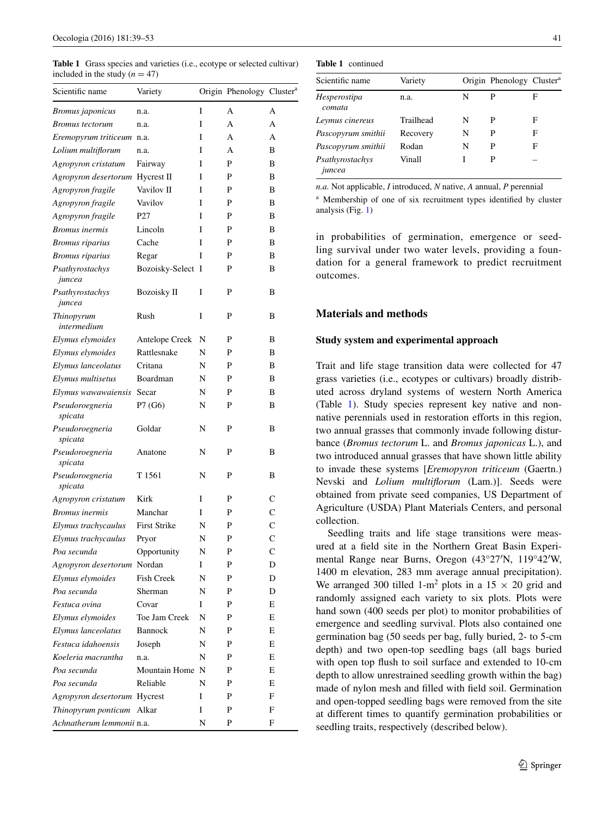<span id="page-2-0"></span>**Table 1** Grass species and varieties (i.e., ecotype or selected cultivar) included in the study  $(n = 47)$ 

| Scientific name              | Variety             |   | Origin Phenology Cluster <sup>a</sup> |   |
|------------------------------|---------------------|---|---------------------------------------|---|
| Bromus japonicus             | n.a.                | I | А                                     | А |
| <b>Bromus</b> tectorum       | n.a.                | I | A                                     | А |
| Eremopyrum triticeum         | n.a.                | Ī | А                                     | А |
| Lolium multiflorum           | n.a.                | I | A                                     | B |
| Agropyron cristatum          | Fairway             | I | P                                     | B |
| Agropyron desertorum         | Hycrest II          | I | P                                     | B |
| Agropyron fragile            | Vavilov II          | Ī | P                                     | B |
| Agropyron fragile            | Vavilov             | Ī | P                                     | В |
| Agropyron fragile            | P <sub>27</sub>     | I | P                                     | B |
| <b>Bromus</b> inermis        | Lincoln             | I | P                                     | В |
| <i>Bromus riparius</i>       | Cache               | I | P                                     | B |
| <b>Bromus</b> riparius       | Regar               | I | P                                     | В |
| Psathyrostachys<br>juncea    | Bozoisky-Select I   |   | P                                     | B |
| Psathyrostachys<br>juncea    | <b>Bozoisky II</b>  | I | P                                     | B |
| Thinopyrum<br>intermedium    | Rush                | I | P                                     | В |
| Elymus elymoides             | Antelope Creek      | N | P                                     | В |
| Elymus elymoides             | Rattlesnake         | N | P                                     | B |
| Elymus lanceolatus           | Critana             | N | P                                     | В |
| Elymus multisetus            | Boardman            | N | P                                     | B |
| Elymus wawawaiensis          | Secar               | N | P                                     | В |
| Pseudoroegneria<br>spicata   | P7 (G6)             | N | P                                     | B |
| Pseudoroegneria<br>spicata   | Goldar              | N | P                                     | B |
| Pseudoroegneria<br>spicata   | Anatone             | N | P                                     | В |
| Pseudoroegneria<br>spicata   | T 1561              | N | P                                     | В |
| Agropyron cristatum          | Kirk                | I | P                                     | C |
| <b>Bromus</b> inermis        | Manchar             | I | P                                     | C |
| Elymus trachycaulus          | <b>First Strike</b> | N | P                                     | Ċ |
| Elymus trachycaulus          | Pryor               | N | P                                     | Ċ |
| Poa secunda                  | Opportunity         | N | P                                     | C |
| Agropyron desertorum Nordan  |                     | Ι | P                                     | D |
| Elymus elymoides             | <b>Fish Creek</b>   | N | P                                     | D |
| Poa secunda                  | Sherman             | N | P                                     | D |
| Festuca ovina                | Covar               | I | P                                     | Е |
| Elymus elymoides             | Toe Jam Creek       | N | P                                     | E |
| Elymus lanceolatus           | <b>Bannock</b>      | N | P                                     | E |
| Festuca idahoensis           | Joseph              | N | P                                     | E |
| Koeleria macrantha           | n.a.                | N | P                                     | E |
| Poa secunda                  | Mountain Home       | N | P                                     | Е |
| Poa secunda                  | Reliable            | N | P                                     | E |
| Agropyron desertorum Hycrest |                     | I | P                                     | F |
| Thinopyrum ponticum Alkar    |                     | I | P                                     | F |
| Achnatherum lemmonii n.a.    |                     | N | P                                     | F |

| <b>Table 1</b> continued |  |
|--------------------------|--|
|--------------------------|--|

| Scientific name           | Variety   |   | Origin Phenology Cluster <sup>a</sup> |   |
|---------------------------|-----------|---|---------------------------------------|---|
| Hesperostipa<br>comata    | n.a.      | N | P                                     | F |
| Leymus cinereus           | Trailhead | N | P                                     | F |
| Pascopyrum smithii        | Recovery  | N | P                                     | F |
| Pascopyrum smithii        | Rodan     | N | P                                     | F |
| Psathyrostachys<br>juncea | Vinall    |   | Р                                     |   |

*n.a.* Not applicable, *I* introduced, *N* native, *A* annual, *P* perennial

<sup>a</sup> Membership of one of six recruitment types identified by cluster analysis (Fig. [1](#page-8-0))

in probabilities of germination, emergence or seedling survival under two water levels, providing a foundation for a general framework to predict recruitment outcomes.

# **Materials and methods**

#### **Study system and experimental approach**

Trait and life stage transition data were collected for 47 grass varieties (i.e., ecotypes or cultivars) broadly distributed across dryland systems of western North America (Table [1\)](#page-2-0). Study species represent key native and nonnative perennials used in restoration efforts in this region, two annual grasses that commonly invade following disturbance (*Bromus tectorum* L. and *Bromus japonicas* L.), and two introduced annual grasses that have shown little ability to invade these systems [*Eremopyron triticeum* (Gaertn.) Nevski and *Lolium multiflorum* (Lam.)]. Seeds were obtained from private seed companies, US Department of Agriculture (USDA) Plant Materials Centers, and personal collection.

Seedling traits and life stage transitions were measured at a field site in the Northern Great Basin Experimental Range near Burns, Oregon (43°27′N, 119°42′W, 1400 m elevation, 283 mm average annual precipitation). We arranged 300 tilled 1-m<sup>2</sup> plots in a 15  $\times$  20 grid and randomly assigned each variety to six plots. Plots were hand sown (400 seeds per plot) to monitor probabilities of emergence and seedling survival. Plots also contained one germination bag (50 seeds per bag, fully buried, 2- to 5-cm depth) and two open-top seedling bags (all bags buried with open top flush to soil surface and extended to 10-cm depth to allow unrestrained seedling growth within the bag) made of nylon mesh and filled with field soil. Germination and open-topped seedling bags were removed from the site at different times to quantify germination probabilities or seedling traits, respectively (described below).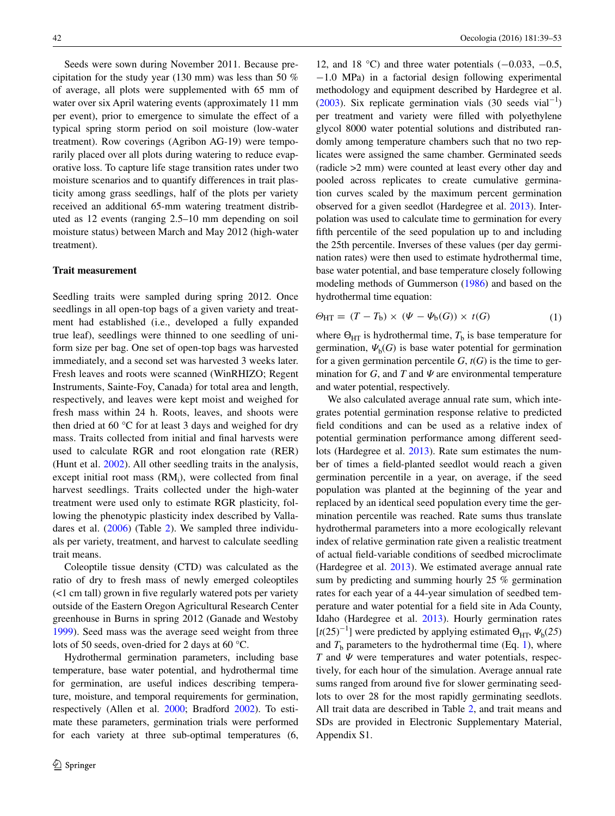Seeds were sown during November 2011. Because precipitation for the study year (130 mm) was less than 50 % of average, all plots were supplemented with 65 mm of water over six April watering events (approximately 11 mm per event), prior to emergence to simulate the effect of a typical spring storm period on soil moisture (low-water treatment). Row coverings (Agribon AG-19) were temporarily placed over all plots during watering to reduce evaporative loss. To capture life stage transition rates under two moisture scenarios and to quantify differences in trait plasticity among grass seedlings, half of the plots per variety received an additional 65-mm watering treatment distributed as 12 events (ranging 2.5–10 mm depending on soil moisture status) between March and May 2012 (high-water treatment).

# **Trait measurement**

Seedling traits were sampled during spring 2012. Once seedlings in all open-top bags of a given variety and treatment had established (i.e., developed a fully expanded true leaf), seedlings were thinned to one seedling of uniform size per bag. One set of open-top bags was harvested immediately, and a second set was harvested 3 weeks later. Fresh leaves and roots were scanned (WinRHIZO; Regent Instruments, Sainte-Foy, Canada) for total area and length, respectively, and leaves were kept moist and weighed for fresh mass within 24 h. Roots, leaves, and shoots were then dried at 60 °C for at least 3 days and weighed for dry mass. Traits collected from initial and final harvests were used to calculate RGR and root elongation rate (RER) (Hunt et al. [2002\)](#page-13-21). All other seedling traits in the analysis, except initial root mass (RM<sub>i</sub>), were collected from final harvest seedlings. Traits collected under the high-water treatment were used only to estimate RGR plasticity, following the phenotypic plasticity index described by Valladares et al. ([2006\)](#page-14-9) (Table [2](#page-4-0)). We sampled three individuals per variety, treatment, and harvest to calculate seedling trait means.

Coleoptile tissue density (CTD) was calculated as the ratio of dry to fresh mass of newly emerged coleoptiles (<1 cm tall) grown in five regularly watered pots per variety outside of the Eastern Oregon Agricultural Research Center greenhouse in Burns in spring 2012 (Ganade and Westoby [1999](#page-13-15)). Seed mass was the average seed weight from three lots of 50 seeds, oven-dried for 2 days at 60 °C.

Hydrothermal germination parameters, including base temperature, base water potential, and hydrothermal time for germination, are useful indices describing temperature, moisture, and temporal requirements for germination, respectively (Allen et al. [2000](#page-12-5); Bradford [2002\)](#page-12-3). To estimate these parameters, germination trials were performed for each variety at three sub-optimal temperatures (6,

12, and 18 °C) and three water potentials (−0.033, −0.5, −1.0 MPa) in a factorial design following experimental methodology and equipment described by Hardegree et al. [\(2003](#page-13-22)). Six replicate germination vials  $(30 \text{ seeds vial}^{-1})$ per treatment and variety were filled with polyethylene glycol 8000 water potential solutions and distributed randomly among temperature chambers such that no two replicates were assigned the same chamber. Germinated seeds (radicle >2 mm) were counted at least every other day and pooled across replicates to create cumulative germination curves scaled by the maximum percent germination observed for a given seedlot (Hardegree et al. [2013\)](#page-13-23). Interpolation was used to calculate time to germination for every fifth percentile of the seed population up to and including the 25th percentile. Inverses of these values (per day germination rates) were then used to estimate hydrothermal time, base water potential, and base temperature closely following modeling methods of Gummerson [\(1986\)](#page-13-13) and based on the hydrothermal time equation:

<span id="page-3-0"></span>
$$
\Theta_{\text{HT}} = (T - T_{\text{b}}) \times (\Psi - \Psi_{\text{b}}(G)) \times t(G) \tag{1}
$$

where  $\Theta_{\text{HT}}$  is hydrothermal time,  $T_{\text{b}}$  is base temperature for germination,  $\Psi_{b}(G)$  is base water potential for germination for a given germination percentile  $G$ ,  $t(G)$  is the time to germination for *G*, and *T* and  $\Psi$  are environmental temperature and water potential, respectively.

We also calculated average annual rate sum, which integrates potential germination response relative to predicted field conditions and can be used as a relative index of potential germination performance among different seedlots (Hardegree et al. [2013\)](#page-13-23). Rate sum estimates the number of times a field-planted seedlot would reach a given germination percentile in a year, on average, if the seed population was planted at the beginning of the year and replaced by an identical seed population every time the germination percentile was reached. Rate sums thus translate hydrothermal parameters into a more ecologically relevant index of relative germination rate given a realistic treatment of actual field-variable conditions of seedbed microclimate (Hardegree et al. [2013](#page-13-23)). We estimated average annual rate sum by predicting and summing hourly 25 % germination rates for each year of a 44-year simulation of seedbed temperature and water potential for a field site in Ada County, Idaho (Hardegree et al. [2013](#page-13-23)). Hourly germination rates [ $t(25)^{-1}$ ] were predicted by applying estimated  $\Theta_{\text{HT}}$ ,  $\Psi_{\text{b}}(25)$ and  $T<sub>b</sub>$  parameters to the hydrothermal time (Eq. [1\)](#page-3-0), where *T* and *Ψ* were temperatures and water potentials, respectively, for each hour of the simulation. Average annual rate sums ranged from around five for slower germinating seedlots to over 28 for the most rapidly germinating seedlots. All trait data are described in Table [2,](#page-4-0) and trait means and SDs are provided in Electronic Supplementary Material, Appendix S1.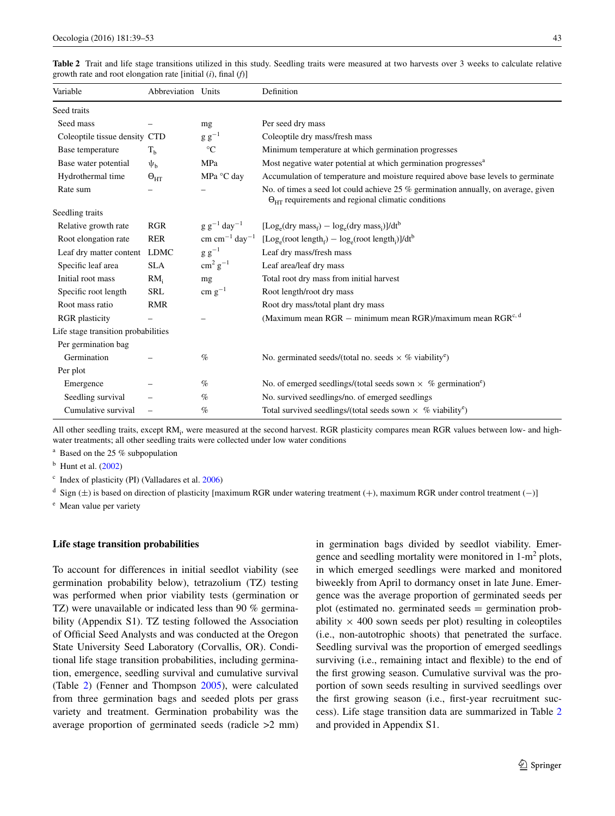| Variable                            | Abbreviation Units   |                                      | Definition                                                                                                                                               |
|-------------------------------------|----------------------|--------------------------------------|----------------------------------------------------------------------------------------------------------------------------------------------------------|
| Seed traits                         |                      |                                      |                                                                                                                                                          |
| Seed mass                           |                      | mg                                   | Per seed dry mass                                                                                                                                        |
| Coleoptile tissue density CTD       |                      | $g g^{-1}$                           | Coleoptile dry mass/fresh mass                                                                                                                           |
| Base temperature                    | $T_{h}$              | $^{\circ}C$                          | Minimum temperature at which germination progresses                                                                                                      |
| Base water potential                | $\Psi_{\rm h}$       | MPa                                  | Most negative water potential at which germination progresses <sup>a</sup>                                                                               |
| Hydrothermal time                   | $\Theta_{\text{HT}}$ | MPa °C day                           | Accumulation of temperature and moisture required above base levels to germinate                                                                         |
| Rate sum                            |                      |                                      | No. of times a seed lot could achieve 25 % germination annually, on average, given<br>$\Theta_{\text{HT}}$ requirements and regional climatic conditions |
| Seedling traits                     |                      |                                      |                                                                                                                                                          |
| Relative growth rate                | <b>RGR</b>           | $g g^{-1}$ day <sup>-1</sup>         | $[Log_e(dry \text{ mass}_f) - log_e(dry \text{ mass}_i)]/dt^b$                                                                                           |
| Root elongation rate                | <b>RER</b>           | $\text{cm cm}^{-1} \text{ day}^{-1}$ | $[Log_e(root length_f) - log_e(root length_i)]/dt^b$                                                                                                     |
| Leaf dry matter content LDMC        |                      | $g g^{-1}$                           | Leaf dry mass/fresh mass                                                                                                                                 |
| Specific leaf area                  | <b>SLA</b>           | $\text{cm}^2 \text{ g}^{-1}$         | Leaf area/leaf dry mass                                                                                                                                  |
| Initial root mass                   | RM <sub>i</sub>      | mg                                   | Total root dry mass from initial harvest                                                                                                                 |
| Specific root length                | <b>SRL</b>           | $\text{cm g}^{-1}$                   | Root length/root dry mass                                                                                                                                |
| Root mass ratio                     | <b>RMR</b>           |                                      | Root dry mass/total plant dry mass                                                                                                                       |
| <b>RGR</b> plasticity               |                      |                                      | (Maximum mean RGR – minimum mean RGR)/maximum mean RGR <sup>c, d</sup>                                                                                   |
| Life stage transition probabilities |                      |                                      |                                                                                                                                                          |
| Per germination bag                 |                      |                                      |                                                                                                                                                          |
| Germination                         |                      | $\%$                                 | No. germinated seeds/(total no. seeds $\times$ % viability <sup>e</sup> )                                                                                |
| Per plot                            |                      |                                      |                                                                                                                                                          |
| Emergence                           |                      | $\%$                                 | No. of emerged seedlings/(total seeds sown $\times$ % germination <sup>e</sup> )                                                                         |
| Seedling survival                   |                      | $\%$                                 | No. survived seedlings/no. of emerged seedlings                                                                                                          |
| Cumulative survival                 |                      | $\%$                                 | Total survived seedlings/(total seeds sown $\times$ % viability <sup>e</sup> )                                                                           |

<span id="page-4-0"></span>

| <b>Table 2</b> Trait and life stage transitions utilized in this study. Seedling traits were measured at two harvests over 3 weeks to calculate relative |  |  |
|----------------------------------------------------------------------------------------------------------------------------------------------------------|--|--|
| growth rate and root elongation rate [initial $(i)$ , final $(f)$ ]                                                                                      |  |  |

All other seedling traits, except RM<sub>i</sub>, were measured at the second harvest. RGR plasticity compares mean RGR values between low- and highwater treatments; all other seedling traits were collected under low water conditions

<sup>a</sup> Based on the 25 % subpopulation

 $<sup>b</sup>$  Hunt et al. ([2002\)](#page-13-21)</sup>

 $\text{c}$  Index of plasticity (PI) (Valladares et al. [2006](#page-14-9))

 $d$  Sign ( $\pm$ ) is based on direction of plasticity [maximum RGR under watering treatment (+), maximum RGR under control treatment (-)]

<sup>e</sup> Mean value per variety

## **Life stage transition probabilities**

To account for differences in initial seedlot viability (see germination probability below), tetrazolium (TZ) testing was performed when prior viability tests (germination or TZ) were unavailable or indicated less than 90 % germinability (Appendix S1). TZ testing followed the Association of Official Seed Analysts and was conducted at the Oregon State University Seed Laboratory (Corvallis, OR). Conditional life stage transition probabilities, including germination, emergence, seedling survival and cumulative survival (Table [2\)](#page-4-0) (Fenner and Thompson [2005\)](#page-13-24), were calculated from three germination bags and seeded plots per grass variety and treatment. Germination probability was the average proportion of germinated seeds (radicle >2 mm) in germination bags divided by seedlot viability. Emergence and seedling mortality were monitored in 1-m<sup>2</sup> plots, in which emerged seedlings were marked and monitored biweekly from April to dormancy onset in late June. Emergence was the average proportion of germinated seeds per plot (estimated no. germinated seeds = germination probability  $\times$  400 sown seeds per plot) resulting in coleoptiles (i.e., non-autotrophic shoots) that penetrated the surface. Seedling survival was the proportion of emerged seedlings surviving (i.e., remaining intact and flexible) to the end of the first growing season. Cumulative survival was the proportion of sown seeds resulting in survived seedlings over the first growing season (i.e., first-year recruitment success). Life stage transition data are summarized in Table [2](#page-4-0) and provided in Appendix S1.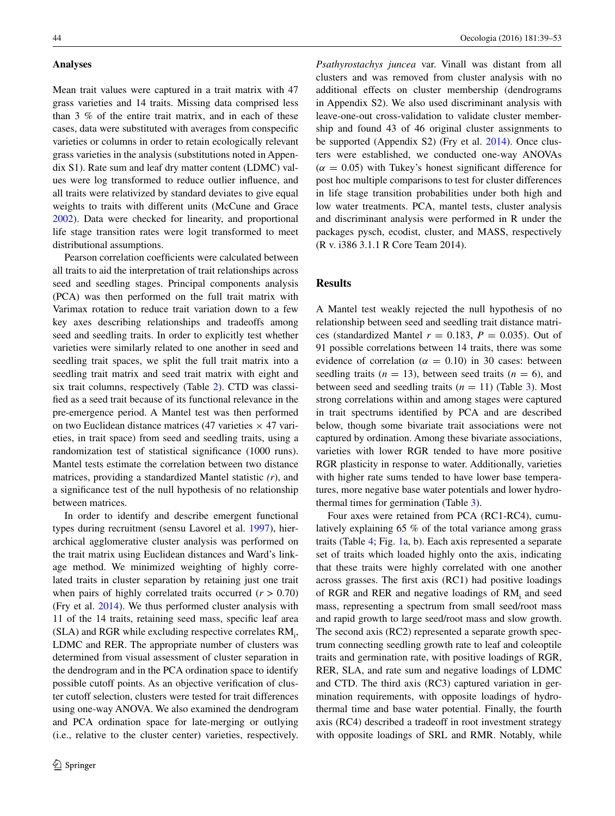#### **Analyses**

Mean trait values were captured in a trait matrix with 47 grass varieties and 14 traits. Missing data comprised less than 3 % of the entire trait matrix, and in each of these cases, data were substituted with averages from conspecific varieties or columns in order to retain ecologically relevant grass varieties in the analysis (substitutions noted in Appendix S1). Rate sum and leaf dry matter content (LDMC) values were log transformed to reduce outlier influence, and all traits were relativized by standard deviates to give equal weights to traits with different units (McCune and Grace [2002](#page-13-25)). Data were checked for linearity, and proportional life stage transition rates were logit transformed to meet distributional assumptions.

Pearson correlation coefficients were calculated between all traits to aid the interpretation of trait relationships across seed and seedling stages. Principal components analysis (PCA) was then performed on the full trait matrix with Varimax rotation to reduce trait variation down to a few key axes describing relationships and tradeoffs among seed and seedling traits. In order to explicitly test whether varieties were similarly related to one another in seed and seedling trait spaces, we split the full trait matrix into a seedling trait matrix and seed trait matrix with eight and six trait columns, respectively (Table [2](#page-4-0)). CTD was classified as a seed trait because of its functional relevance in the pre-emergence period. A Mantel test was then performed on two Euclidean distance matrices (47 varieties  $\times$  47 varieties, in trait space) from seed and seedling traits, using a randomization test of statistical significance (1000 runs). Mantel tests estimate the correlation between two distance matrices, providing a standardized Mantel statistic *(r*), and a significance test of the null hypothesis of no relationship between matrices.

In order to identify and describe emergent functional types during recruitment (sensu Lavorel et al. [1997](#page-13-20)), hierarchical agglomerative cluster analysis was performed on the trait matrix using Euclidean distances and Ward's linkage method. We minimized weighting of highly correlated traits in cluster separation by retaining just one trait when pairs of highly correlated traits occurred  $(r > 0.70)$ (Fry et al. [2014](#page-13-26)). We thus performed cluster analysis with 11 of the 14 traits, retaining seed mass, specific leaf area (SLA) and RGR while excluding respective correlates RM<sub>i</sub>, LDMC and RER. The appropriate number of clusters was determined from visual assessment of cluster separation in the dendrogram and in the PCA ordination space to identify possible cutoff points. As an objective verification of cluster cutoff selection, clusters were tested for trait differences using one-way ANOVA. We also examined the dendrogram and PCA ordination space for late-merging or outlying (i.e., relative to the cluster center) varieties, respectively.

*Psathyrostachys juncea* var. Vinall was distant from all clusters and was removed from cluster analysis with no additional effects on cluster membership (dendrograms in Appendix S2). We also used discriminant analysis with leave-one-out cross-validation to validate cluster membership and found 43 of 46 original cluster assignments to be supported (Appendix S2) (Fry et al. [2014\)](#page-13-26). Once clusters were established, we conducted one-way ANOVAs  $(\alpha = 0.05)$  with Tukey's honest significant difference for post hoc multiple comparisons to test for cluster differences in life stage transition probabilities under both high and low water treatments. PCA, mantel tests, cluster analysis and discriminant analysis were performed in R under the packages pysch, ecodist, cluster, and MASS, respectively (R v. i386 3.1.1 R Core Team 2014).

## **Results**

A Mantel test weakly rejected the null hypothesis of no relationship between seed and seedling trait distance matrices (standardized Mantel  $r = 0.183$ ,  $P = 0.035$ ). Out of 91 possible correlations between 14 traits, there was some evidence of correlation ( $\alpha = 0.10$ ) in 30 cases: between seedling traits  $(n = 13)$ , between seed traits  $(n = 6)$ , and between seed and seedling traits  $(n = 11)$  (Table [3\)](#page-6-0). Most strong correlations within and among stages were captured in trait spectrums identified by PCA and are described below, though some bivariate trait associations were not captured by ordination. Among these bivariate associations, varieties with lower RGR tended to have more positive RGR plasticity in response to water. Additionally, varieties with higher rate sums tended to have lower base temperatures, more negative base water potentials and lower hydrothermal times for germination (Table [3](#page-6-0)).

Four axes were retained from PCA (RC1-RC4), cumulatively explaining 65 % of the total variance among grass traits (Table [4;](#page-7-0) Fig. [1a](#page-8-0), b). Each axis represented a separate set of traits which loaded highly onto the axis, indicating that these traits were highly correlated with one another across grasses. The first axis (RC1) had positive loadings of RGR and RER and negative loadings of  $RM$ <sub>i</sub> and seed mass, representing a spectrum from small seed/root mass and rapid growth to large seed/root mass and slow growth. The second axis (RC2) represented a separate growth spectrum connecting seedling growth rate to leaf and coleoptile traits and germination rate, with positive loadings of RGR, RER, SLA, and rate sum and negative loadings of LDMC and CTD. The third axis (RC3) captured variation in germination requirements, with opposite loadings of hydrothermal time and base water potential. Finally, the fourth axis (RC4) described a tradeoff in root investment strategy with opposite loadings of SRL and RMR. Notably, while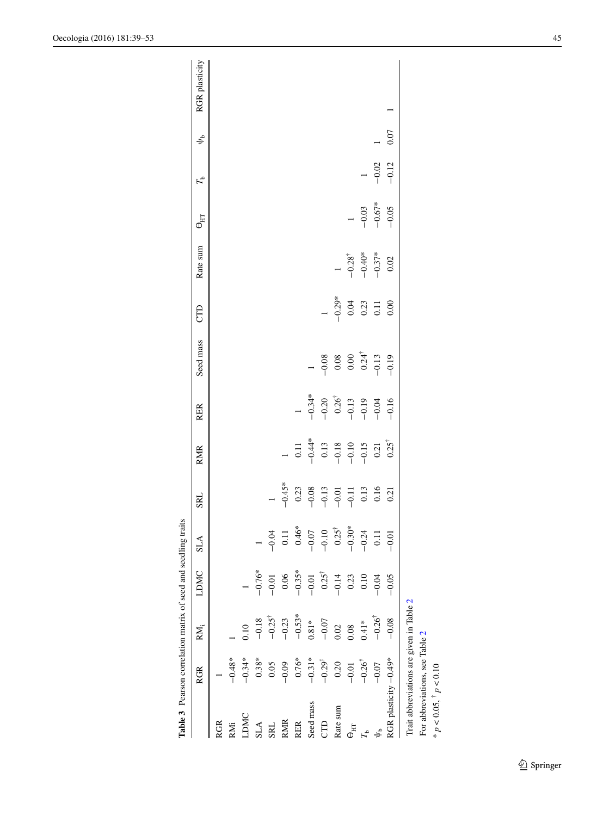<span id="page-6-0"></span>

| Table 3 Pearson correlation matrix of seed and seedling traits |                                |                                          |                  |                  |                                                                                                                     |                                                                                           |                                                                |                                                                                 |                                  |                                             |                     |                |      |                |
|----------------------------------------------------------------|--------------------------------|------------------------------------------|------------------|------------------|---------------------------------------------------------------------------------------------------------------------|-------------------------------------------------------------------------------------------|----------------------------------------------------------------|---------------------------------------------------------------------------------|----------------------------------|---------------------------------------------|---------------------|----------------|------|----------------|
|                                                                | <b>RGR</b>                     | RM;                                      | <b>LDMC</b>      | <b>SLA</b>       | <b>SRL</b>                                                                                                          | <b>RMIR</b>                                                                               | <b>RER</b>                                                     | Seed mass                                                                       | CTD                              | Rate sum                                    | $\Theta_{\rm HI}$   | $r_{\rm b}$    | مگ   | RGR plasticity |
| <b>RGR</b>                                                     |                                |                                          |                  |                  |                                                                                                                     |                                                                                           |                                                                |                                                                                 |                                  |                                             |                     |                |      |                |
| RMi                                                            | $-0.48*$                       |                                          |                  |                  |                                                                                                                     |                                                                                           |                                                                |                                                                                 |                                  |                                             |                     |                |      |                |
| LDMC                                                           | $-0.34*$                       | 0.10                                     |                  |                  |                                                                                                                     |                                                                                           |                                                                |                                                                                 |                                  |                                             |                     |                |      |                |
| $SLA$                                                          | $0.38*$                        | $-0.18$                                  | $-0.76*$         |                  |                                                                                                                     |                                                                                           |                                                                |                                                                                 |                                  |                                             |                     |                |      |                |
| SRL                                                            | 0.05                           | $-0.25^\dagger$                          | $-0.01$          | $-0.04$          |                                                                                                                     |                                                                                           |                                                                |                                                                                 |                                  |                                             |                     |                |      |                |
| <b>RMR</b>                                                     | $-0.09$                        | $-0.23$                                  | 0.06             | 0.11             | $-0.45*$                                                                                                            |                                                                                           |                                                                |                                                                                 |                                  |                                             |                     |                |      |                |
| <b>RER</b>                                                     | $0.76*$                        | $-0.53*$                                 | $-0.35*$         | $0.46*$          |                                                                                                                     |                                                                                           | $\overline{a}$                                                 |                                                                                 |                                  |                                             |                     |                |      |                |
| Seed mass                                                      | $-0.31*$                       | $0.81*$                                  | $-0.01$          | $-0.07$          |                                                                                                                     |                                                                                           |                                                                |                                                                                 |                                  |                                             |                     |                |      |                |
| <b>CTD</b>                                                     | $-0.29^{\dagger}$              | $-0.07$                                  | $0.25^{\dagger}$ | $-0.10$          |                                                                                                                     |                                                                                           |                                                                |                                                                                 | $\overline{a}$                   |                                             |                     |                |      |                |
| Rate sum                                                       | 0.20                           | 0.02                                     | $-0.14$          | $0.25^{\dagger}$ | $\begin{array}{c} 0.23 \\ -0.08 \\ -0.13 \\ -0.11 \\ -0.11 \\ 0.13 \\ 0.16 \\ 0.06 \\ 0.01 \\ 0.021 \\ \end{array}$ | 0.11<br>$-0.44*$<br>$-0.13$<br>$-0.18$<br>$-0.15$<br>$-0.15$<br>0.21<br>0.25 <sup>†</sup> | $-0.34$<br>$-0.20$<br>$-0.26$<br>$-0.13$<br>$-0.19$<br>$-0.19$ | $\begin{array}{r} -0.08 \\ 0.08 \\ 0.00 \\ 0.24^{\dagger} \\ -0.13 \end{array}$ | $-0.29*$<br>0.04<br>0.23<br>0.23 |                                             |                     |                |      |                |
| $\Theta_{\rm HT}$                                              | $-0.01$                        | 0.08                                     | 0.23             | $-0.30*$         |                                                                                                                     |                                                                                           |                                                                |                                                                                 |                                  |                                             | $\overline{a}$      |                |      |                |
| $\mathbf{q}_{r}$                                               | $-0.26^{\dagger}$              | $0.41*$                                  | $0.10\,$         | $-0.24$          |                                                                                                                     |                                                                                           |                                                                |                                                                                 |                                  | $-0.28^{\dagger}$<br>$-0.40^*$<br>$-0.37^*$ |                     | $\overline{a}$ |      |                |
|                                                                | $-0.07$                        | $-0.26$ <sup>†</sup>                     | $-0.04$          | $0.11$           |                                                                                                                     |                                                                                           |                                                                |                                                                                 |                                  |                                             | $-0.03$<br>$-0.67*$ | $-0.02$        |      |                |
| RGR plasticity -0.49*                                          |                                | $-0.08$                                  | $-0.05$          | $-0.01$          |                                                                                                                     |                                                                                           | $-0.16$                                                        | $-0.19$                                                                         | 0.00                             | $0.02\,$                                    | $-0.05$             | $-0.12$        | 0.07 |                |
|                                                                |                                | Trait abbreviations are given in Table 2 |                  |                  |                                                                                                                     |                                                                                           |                                                                |                                                                                 |                                  |                                             |                     |                |      |                |
|                                                                | For abbreviations, see Table 2 |                                          |                  |                  |                                                                                                                     |                                                                                           |                                                                |                                                                                 |                                  |                                             |                     |                |      |                |
| $* p < 0.05, ^{\dagger} p < 0.10$                              |                                |                                          |                  |                  |                                                                                                                     |                                                                                           |                                                                |                                                                                 |                                  |                                             |                     |                |      |                |

Oecologia (2016) 181:39–53 45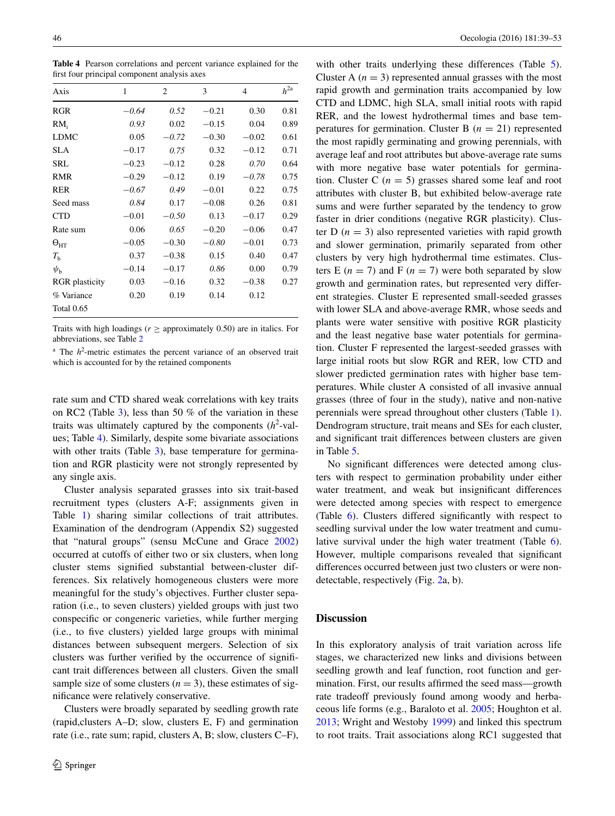<span id="page-7-0"></span>**Table 4** Pearson correlations and percent variance explained for the first four principal component analysis axes

| Axis                  | 1       | 2       | 3       | 4       | $h^{2a}$ |
|-----------------------|---------|---------|---------|---------|----------|
| <b>RGR</b>            | $-0.64$ | 0.52    | $-0.21$ | 0.30    | 0.81     |
| RM <sub>i</sub>       | 0.93    | 0.02    | $-0.15$ | 0.04    | 0.89     |
| LDMC                  | 0.05    | $-0.72$ | $-0.30$ | $-0.02$ | 0.61     |
| <b>SLA</b>            | $-0.17$ | 0.75    | 0.32    | $-0.12$ | 0.71     |
| SRL                   | $-0.23$ | $-0.12$ | 0.28    | 0.70    | 0.64     |
| <b>RMR</b>            | $-0.29$ | $-0.12$ | 0.19    | $-0.78$ | 0.75     |
| <b>RER</b>            | $-0.67$ | 0.49    | $-0.01$ | 0.22    | 0.75     |
| Seed mass             | 0.84    | 0.17    | $-0.08$ | 0.26    | 0.81     |
| <b>CTD</b>            | $-0.01$ | $-0.50$ | 0.13    | $-0.17$ | 0.29     |
| Rate sum              | 0.06    | 0.65    | $-0.20$ | $-0.06$ | 0.47     |
| $\Theta_{\rm HT}$     | $-0.05$ | $-0.30$ | $-0.80$ | $-0.01$ | 0.73     |
| $T_{\rm h}$           | 0.37    | $-0.38$ | 0.15    | 0.40    | 0.47     |
| $\psi_{\rm b}$        | $-0.14$ | $-0.17$ | 0.86    | 0.00    | 0.79     |
| <b>RGR</b> plasticity | 0.03    | $-0.16$ | 0.32    | $-0.38$ | 0.27     |
| % Variance            | 0.20    | 0.19    | 0.14    | 0.12    |          |
| <b>Total 0.65</b>     |         |         |         |         |          |

Traits with high loadings ( $r \ge$  approximately 0.50) are in italics. For abbreviations, see Table [2](#page-4-0)

 $h^2$ -metric estimates the percent variance of an observed trait which is accounted for by the retained components

rate sum and CTD shared weak correlations with key traits on RC2 (Table [3](#page-6-0)), less than 50 % of the variation in these traits was ultimately captured by the components  $(h^2$ -values; Table [4](#page-7-0)). Similarly, despite some bivariate associations with other traits (Table [3\)](#page-6-0), base temperature for germination and RGR plasticity were not strongly represented by any single axis.

Cluster analysis separated grasses into six trait-based recruitment types (clusters A-F; assignments given in Table [1](#page-2-0)) sharing similar collections of trait attributes. Examination of the dendrogram (Appendix S2) suggested that "natural groups" (sensu McCune and Grace [2002\)](#page-13-25) occurred at cutoffs of either two or six clusters, when long cluster stems signified substantial between-cluster differences. Six relatively homogeneous clusters were more meaningful for the study's objectives. Further cluster separation (i.e., to seven clusters) yielded groups with just two conspecific or congeneric varieties, while further merging (i.e., to five clusters) yielded large groups with minimal distances between subsequent mergers. Selection of six clusters was further verified by the occurrence of significant trait differences between all clusters. Given the small sample size of some clusters  $(n = 3)$ , these estimates of significance were relatively conservative.

Clusters were broadly separated by seedling growth rate (rapid,clusters A–D; slow, clusters E, F) and germination rate (i.e., rate sum; rapid, clusters A, B; slow, clusters C–F),

with other traits underlying these differences (Table [5](#page-9-0)). Cluster A  $(n = 3)$  represented annual grasses with the most rapid growth and germination traits accompanied by low CTD and LDMC, high SLA, small initial roots with rapid RER, and the lowest hydrothermal times and base temperatures for germination. Cluster B  $(n = 21)$  represented the most rapidly germinating and growing perennials, with average leaf and root attributes but above-average rate sums with more negative base water potentials for germination. Cluster C  $(n = 5)$  grasses shared some leaf and root attributes with cluster B, but exhibited below-average rate sums and were further separated by the tendency to grow faster in drier conditions (negative RGR plasticity). Cluster D  $(n = 3)$  also represented varieties with rapid growth and slower germination, primarily separated from other clusters by very high hydrothermal time estimates. Clusters E  $(n = 7)$  and F  $(n = 7)$  were both separated by slow growth and germination rates, but represented very different strategies. Cluster E represented small-seeded grasses with lower SLA and above-average RMR, whose seeds and plants were water sensitive with positive RGR plasticity and the least negative base water potentials for germination. Cluster F represented the largest-seeded grasses with large initial roots but slow RGR and RER, low CTD and slower predicted germination rates with higher base temperatures. While cluster A consisted of all invasive annual grasses (three of four in the study), native and non-native perennials were spread throughout other clusters (Table [1](#page-2-0)). Dendrogram structure, trait means and SEs for each cluster, and significant trait differences between clusters are given in Table [5.](#page-9-0)

No significant differences were detected among clusters with respect to germination probability under either water treatment, and weak but insignificant differences were detected among species with respect to emergence (Table [6](#page-9-1)). Clusters differed significantly with respect to seedling survival under the low water treatment and cumulative survival under the high water treatment (Table [6](#page-9-1)). However, multiple comparisons revealed that significant differences occurred between just two clusters or were nondetectable, respectively (Fig. [2a](#page-10-0), b).

## **Discussion**

In this exploratory analysis of trait variation across life stages, we characterized new links and divisions between seedling growth and leaf function, root function and germination. First, our results affirmed the seed mass—growth rate tradeoff previously found among woody and herbaceous life forms (e.g., Baraloto et al. [2005](#page-12-6); Houghton et al. [2013](#page-13-27); Wright and Westoby [1999](#page-14-1)) and linked this spectrum to root traits. Trait associations along RC1 suggested that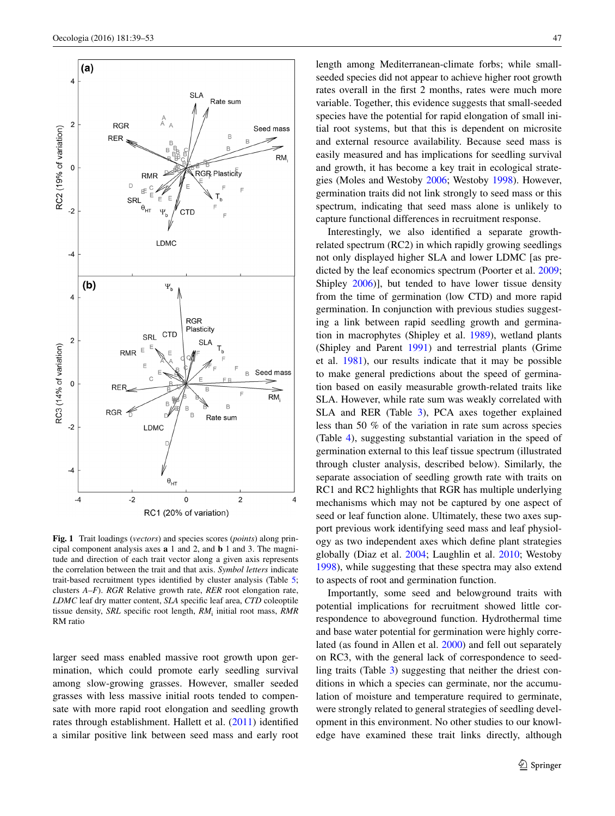

<span id="page-8-0"></span>**Fig. 1** Trait loadings (*vectors*) and species scores (*points*) along principal component analysis axes **a** 1 and 2, and **b** 1 and 3. The magnitude and direction of each trait vector along a given axis represents the correlation between the trait and that axis. *Symbol letters* indicate trait-based recruitment types identified by cluster analysis (Table [5;](#page-9-0) clusters *A–F*). *RGR* Relative growth rate, *RER* root elongation rate, *LDMC* leaf dry matter content, *SLA* specific leaf area, *CTD* coleoptile tissue density, *SRL* specific root length,  $RM$ <sub>i</sub> initial root mass, RMR RM ratio

larger seed mass enabled massive root growth upon germination, which could promote early seedling survival among slow-growing grasses. However, smaller seeded grasses with less massive initial roots tended to compensate with more rapid root elongation and seedling growth rates through establishment. Hallett et al. ([2011\)](#page-13-28) identified a similar positive link between seed mass and early root length among Mediterranean-climate forbs; while smallseeded species did not appear to achieve higher root growth rates overall in the first 2 months, rates were much more variable. Together, this evidence suggests that small-seeded species have the potential for rapid elongation of small initial root systems, but that this is dependent on microsite and external resource availability. Because seed mass is easily measured and has implications for seedling survival and growth, it has become a key trait in ecological strategies (Moles and Westoby [2006;](#page-13-10) Westoby [1998\)](#page-14-10). However, germination traits did not link strongly to seed mass or this spectrum, indicating that seed mass alone is unlikely to capture functional differences in recruitment response.

Interestingly, we also identified a separate growthrelated spectrum (RC2) in which rapidly growing seedlings not only displayed higher SLA and lower LDMC [as predicted by the leaf economics spectrum (Poorter et al. [2009](#page-13-29); Shipley [2006](#page-14-3))], but tended to have lower tissue density from the time of germination (low CTD) and more rapid germination. In conjunction with previous studies suggesting a link between rapid seedling growth and germination in macrophytes (Shipley et al. [1989\)](#page-14-8), wetland plants (Shipley and Parent [1991](#page-14-11)) and terrestrial plants (Grime et al. [1981\)](#page-13-19), our results indicate that it may be possible to make general predictions about the speed of germination based on easily measurable growth-related traits like SLA. However, while rate sum was weakly correlated with SLA and RER (Table [3\)](#page-6-0), PCA axes together explained less than 50 % of the variation in rate sum across species (Table [4](#page-7-0)), suggesting substantial variation in the speed of germination external to this leaf tissue spectrum (illustrated through cluster analysis, described below). Similarly, the separate association of seedling growth rate with traits on RC1 and RC2 highlights that RGR has multiple underlying mechanisms which may not be captured by one aspect of seed or leaf function alone. Ultimately, these two axes support previous work identifying seed mass and leaf physiology as two independent axes which define plant strategies globally (Diaz et al. [2004;](#page-12-7) Laughlin et al. [2010](#page-13-30); Westoby [1998](#page-14-10)), while suggesting that these spectra may also extend to aspects of root and germination function.

Importantly, some seed and belowground traits with potential implications for recruitment showed little correspondence to aboveground function. Hydrothermal time and base water potential for germination were highly correlated (as found in Allen et al. [2000\)](#page-12-5) and fell out separately on RC3, with the general lack of correspondence to seedling traits (Table [3](#page-6-0)) suggesting that neither the driest conditions in which a species can germinate, nor the accumulation of moisture and temperature required to germinate, were strongly related to general strategies of seedling development in this environment. No other studies to our knowledge have examined these trait links directly, although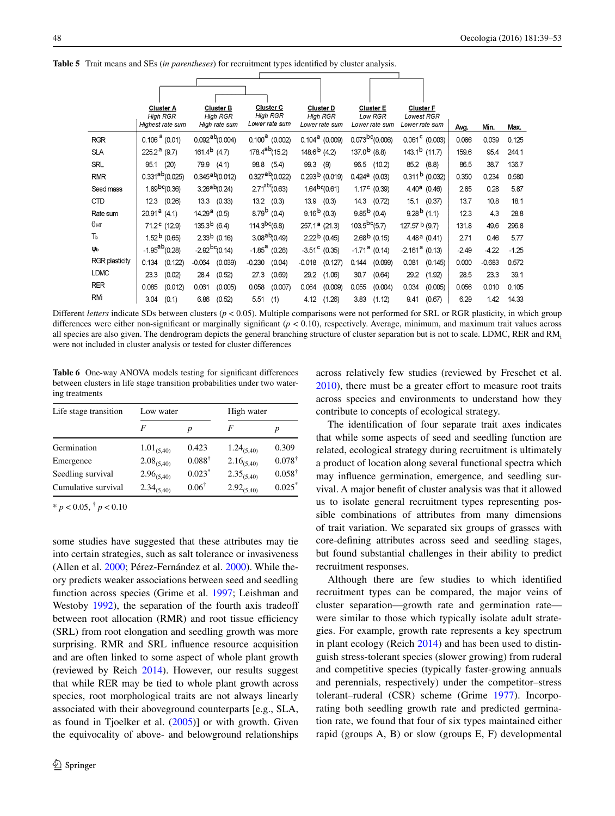<span id="page-9-0"></span>**Table 5** Trait means and SEs (*in parentheses*) for recruitment types identified by cluster analysis.

|                       |                          | <b>Cluster A</b><br><b>High RGR</b><br>Highest rate sum |                          | <b>Cluster B</b><br><b>High RGR</b><br>High rate sum |                   | <b>Cluster C</b><br><b>High RGR</b><br>Lower rate sum |                   | <b>Cluster D</b><br><b>High RGR</b><br>Lower rate sum |                   | <b>Cluster E</b><br>Low RGR<br>Lower rate sum | <b>Cluster F</b> | <b>Lowest RGR</b><br>Lower rate sum | Avg.    | Min.     | Max.    |
|-----------------------|--------------------------|---------------------------------------------------------|--------------------------|------------------------------------------------------|-------------------|-------------------------------------------------------|-------------------|-------------------------------------------------------|-------------------|-----------------------------------------------|------------------|-------------------------------------|---------|----------|---------|
| <b>RGR</b>            | $0.106^{a}$ (0.01)       |                                                         |                          | $0.092^{ab}(0.004)$                                  |                   | $0.100^a$ (0.002)                                     |                   | $0.104^a$ (0.009)                                     |                   | $0.073^{bc} (0.006)$                          |                  | $0.061^{\circ}$ (0.003)             | 0.086   | 0.039    | 0.125   |
| <b>SLA</b>            | $225.2^{\,a}$ (9.7)      |                                                         | 161.4 <sup>b</sup> (4.7) |                                                      |                   | $178.4^{ab}(15.2)$                                    | $148.6^{b}$ (4.2) |                                                       | $137.0b$ (8.8)    |                                               |                  | $143.1b$ (11.7)                     | 159.6   | 95.4     | 244.1   |
| SRL                   | 95.1                     | (20)                                                    |                          | 79.9 (4.1)                                           |                   | 98.8 (5.4)                                            | 99.3              | (9)                                                   | 96.5              | (10.2)                                        |                  | 85.2 (8.8)                          | 86.5    | 38.7     | 136.7   |
| <b>RMR</b>            |                          | $0.331^{ab}(0.025)$                                     |                          | $0.345$ <sup>ab</sup> $(0.012)$                      |                   | $0.327$ <sup>ab</sup> $(0.022)$                       |                   | $0.293b$ (0.019)                                      |                   | $0.424$ <sup>a</sup> $(0.03)$                 |                  | $0.311b$ (0.032)                    | 0.350   | 0.234    | 0.580   |
| Seed mass             |                          | $1.89^{bc}(0.36)$                                       |                          | $3.26^{ab}(0.24)$                                    |                   | $2.71^{ab}$ (0.63)                                    |                   | $1.64$ <sup>bc</sup> $(0.61)$                         |                   | $1.17c$ (0.39)                                |                  | $4.40^a$ (0.46)                     | 2.85    | 0.28     | 5.87    |
| <b>CTD</b>            |                          | 12.3 (0.26)                                             |                          | 13.3 (0.33)                                          |                   | $13.2$ $(0.3)$                                        |                   | $13.9$ $(0.3)$                                        | 14.3              | (0.72)                                        |                  | 15.1 (0.37)                         | 13.7    | 10.8     | 18.1    |
| Rate sum              | $20.91^{\text{a}}$ (4.1) |                                                         | $14.29a$ (0.5)           |                                                      |                   | $8.79^{\rm b}$ (0.4)                                  |                   | $9.16b$ (0.3)                                         |                   | $9.85^{b}$ (0.4)                              |                  | $9.28^{b}$ (1.1)                    | 12.3    | 4.3      | 28.8    |
| $\theta$ нт           |                          | 71.2 <sup>c</sup> (12.9)                                | $135.3b$ (6.4)           |                                                      | $114.3^{bc}(6.8)$ |                                                       |                   | $257.1a$ (21.3)                                       | $103.5^{bc}(5.7)$ |                                               | 127.57 b (9.7)   |                                     | 131.8   | 49.6     | 296.8   |
| Ть                    |                          | $1.52b$ (0.65)                                          |                          | $2.33b$ (0.16)                                       |                   | $3.08^{ab}(0.49)$                                     |                   | $2.22b$ (0.45)                                        |                   | $2.68b$ (0.15)                                |                  | 4.48a(0.41)                         | 2.71    | 0.46     | 5.77    |
| Ψь                    |                          | $-1.95^{ab}(0.28)$                                      |                          | $-2.92$ <sup>bc</sup> (0.14)                         |                   | $-1.85$ <sup>a</sup> (0.26)                           |                   | $-3.51$ <sup>c</sup> (0.35)                           |                   | $-1.71^{\text{a}}$ (0.14)                     | $-2.161a$ (0.13) |                                     | $-2.49$ | $-4.22$  | $-1.25$ |
| <b>RGR</b> plasticity | 0.134                    | (0.122)                                                 | $-0.064$                 | (0.039)                                              | $-0.230$          | (0.04)                                                | $-0.018$          | (0.127)                                               | 0.144             | (0.099)                                       | 0.081            | (0.145)                             | 0.000   | $-0.683$ | 0.572   |
| <b>LDMC</b>           | 23.3                     | (0.02)                                                  | 28.4                     | (0.52)                                               | 27.3              | (0.69)                                                | 29.2              | (1.06)                                                | 30.7              | (0.64)                                        | 29.2             | (1.92)                              | 28.5    | 23.3     | 39.1    |
| RER                   | 0.085                    | (0.012)                                                 | 0.061                    | (0.005)                                              | 0.058             | (0.007)                                               | 0.064             | (0.009)                                               | 0.055             | (0.004)                                       | 0.034            | (0.005)                             | 0.056   | 0.010    | 0.105   |
| RM                    | 3.04                     | (0.1)                                                   | 6.86                     | (0.52)                                               | 5.51              | (1)                                                   | 4.12              | (1.26)                                                | 3.83              | (1.12)                                        | 9.41             | (0.67)                              | 6.29    | 1.42     | 14.33   |

Different *letters* indicate SDs between clusters ( $p < 0.05$ ). Multiple comparisons were not performed for SRL or RGR plasticity, in which group differences were either non-significant or marginally significant ( $p < 0.10$ ), respectively. Average, minimum, and maximum trait values across all species are also given. The dendrogram depicts the general branching structure of cluster separation but is not to scale. LDMC, RER and RMi were not included in cluster analysis or tested for cluster differences

<span id="page-9-1"></span>**Table 6** One-way ANOVA models testing for significant differences between clusters in life stage transition probabilities under two watering treatments

| Life stage transition | Low water       |                   | High water      |                   |  |
|-----------------------|-----------------|-------------------|-----------------|-------------------|--|
|                       | F               | p                 | F               | р                 |  |
| Germination           | $1.01_{(5,40)}$ | 0.423             | $1.24_{(5,40)}$ | 0.309             |  |
| Emergence             | $2.08_{(5,40)}$ | $0.088^{\dagger}$ | $2.16_{(5,40)}$ | $0.078^{\dagger}$ |  |
| Seedling survival     | $2.96_{(5,40)}$ | $0.023*$          | $2.35_{(5,40)}$ | $0.058^{\dagger}$ |  |
| Cumulative survival   | $2.34_{(5,40)}$ | $0.06^{\dagger}$  | $2.92_{(5,40)}$ | $0.025*$          |  |

 $* p < 0.05, \, \dagger p < 0.10$ 

some studies have suggested that these attributes may tie into certain strategies, such as salt tolerance or invasiveness (Allen et al. [2000](#page-12-5); Pérez-Fernández et al. [2000](#page-13-31)). While theory predicts weaker associations between seed and seedling function across species (Grime et al. [1997](#page-13-17); Leishman and Westoby [1992\)](#page-13-18), the separation of the fourth axis tradeoff between root allocation (RMR) and root tissue efficiency (SRL) from root elongation and seedling growth was more surprising. RMR and SRL influence resource acquisition and are often linked to some aspect of whole plant growth (reviewed by Reich [2014\)](#page-14-2). However, our results suggest that while RER may be tied to whole plant growth across species, root morphological traits are not always linearly associated with their aboveground counterparts [e.g., SLA, as found in Tjoelker et al. ([2005\)](#page-14-12)] or with growth. Given the equivocality of above- and belowground relationships across relatively few studies (reviewed by Freschet et al. [2010](#page-13-32)), there must be a greater effort to measure root traits across species and environments to understand how they contribute to concepts of ecological strategy.

The identification of four separate trait axes indicates that while some aspects of seed and seedling function are related, ecological strategy during recruitment is ultimately a product of location along several functional spectra which may influence germination, emergence, and seedling survival. A major benefit of cluster analysis was that it allowed us to isolate general recruitment types representing possible combinations of attributes from many dimensions of trait variation. We separated six groups of grasses with core-defining attributes across seed and seedling stages, but found substantial challenges in their ability to predict recruitment responses.

Although there are few studies to which identified recruitment types can be compared, the major veins of cluster separation—growth rate and germination rate were similar to those which typically isolate adult strategies. For example, growth rate represents a key spectrum in plant ecology (Reich [2014\)](#page-14-2) and has been used to distinguish stress-tolerant species (slower growing) from ruderal and competitive species (typically faster-growing annuals and perennials, respectively) under the competitor–stress tolerant–ruderal (CSR) scheme (Grime [1977](#page-13-33)). Incorporating both seedling growth rate and predicted germination rate, we found that four of six types maintained either rapid (groups A, B) or slow (groups E, F) developmental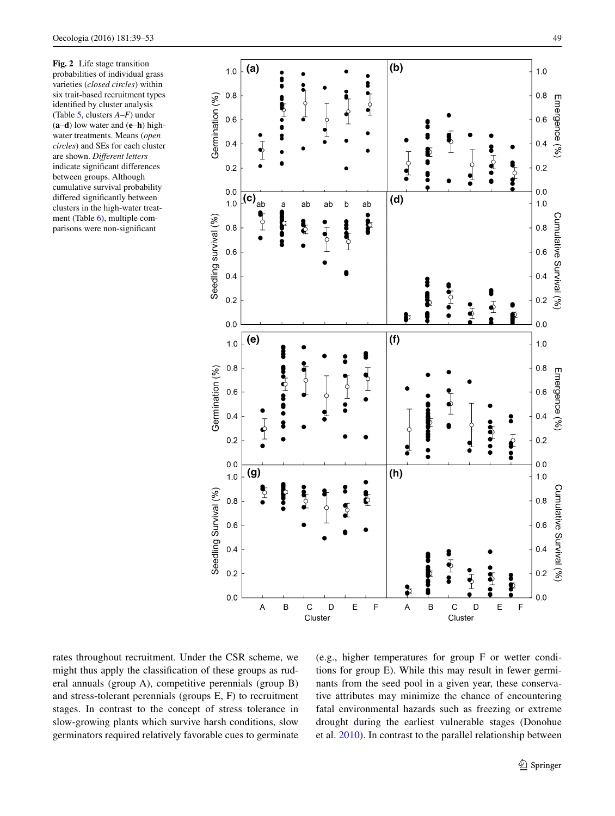<span id="page-10-0"></span>**Fig. 2** Life stage transition probabilities of individual grass varieties (*closed circles*) within six trait-based recruitment types identified by cluster analysis (Table [5,](#page-9-0) clusters *A–F*) under (**a**–**d**) low water and (**e**–**h**) highwater treatments. Means (*open circles*) and SEs for each cluster are shown. *Different letters* indicate significant differences between groups. Although cumulative survival probability differed significantly between clusters in the high-water treatment (Table [6](#page-9-1)), multiple comparisons were non-significant



rates throughout recruitment. Under the CSR scheme, we might thus apply the classification of these groups as ruderal annuals (group A), competitive perennials (group B) and stress-tolerant perennials (groups E, F) to recruitment stages. In contrast to the concept of stress tolerance in slow-growing plants which survive harsh conditions, slow germinators required relatively favorable cues to germinate (e.g., higher temperatures for group F or wetter conditions for group E). While this may result in fewer germinants from the seed pool in a given year, these conservative attributes may minimize the chance of encountering fatal environmental hazards such as freezing or extreme drought during the earliest vulnerable stages (Donohue et al. [2010](#page-12-8)). In contrast to the parallel relationship between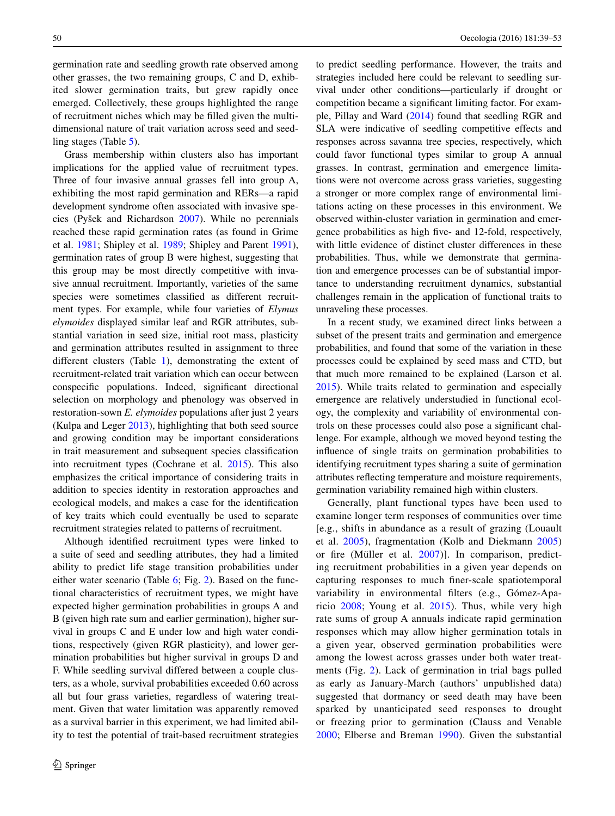germination rate and seedling growth rate observed among other grasses, the two remaining groups, C and D, exhibited slower germination traits, but grew rapidly once emerged. Collectively, these groups highlighted the range of recruitment niches which may be filled given the multidimensional nature of trait variation across seed and seedling stages (Table [5\)](#page-9-0).

Grass membership within clusters also has important implications for the applied value of recruitment types. Three of four invasive annual grasses fell into group A, exhibiting the most rapid germination and RERs—a rapid development syndrome often associated with invasive species (Pyšek and Richardson [2007](#page-13-34)). While no perennials reached these rapid germination rates (as found in Grime et al. [1981](#page-13-19); Shipley et al. [1989](#page-14-8); Shipley and Parent [1991](#page-14-11)), germination rates of group B were highest, suggesting that this group may be most directly competitive with invasive annual recruitment. Importantly, varieties of the same species were sometimes classified as different recruitment types. For example, while four varieties of *Elymus elymoides* displayed similar leaf and RGR attributes, substantial variation in seed size, initial root mass, plasticity and germination attributes resulted in assignment to three different clusters (Table [1](#page-2-0)), demonstrating the extent of recruitment-related trait variation which can occur between conspecific populations. Indeed, significant directional selection on morphology and phenology was observed in restoration-sown *E. elymoides* populations after just 2 years (Kulpa and Leger [2013](#page-13-35)), highlighting that both seed source and growing condition may be important considerations in trait measurement and subsequent species classification into recruitment types (Cochrane et al. [2015](#page-12-9)). This also emphasizes the critical importance of considering traits in addition to species identity in restoration approaches and ecological models, and makes a case for the identification of key traits which could eventually be used to separate recruitment strategies related to patterns of recruitment.

Although identified recruitment types were linked to a suite of seed and seedling attributes, they had a limited ability to predict life stage transition probabilities under either water scenario (Table [6](#page-9-1); Fig. [2\)](#page-10-0). Based on the functional characteristics of recruitment types, we might have expected higher germination probabilities in groups A and B (given high rate sum and earlier germination), higher survival in groups C and E under low and high water conditions, respectively (given RGR plasticity), and lower germination probabilities but higher survival in groups D and F. While seedling survival differed between a couple clusters, as a whole, survival probabilities exceeded 0.60 across all but four grass varieties, regardless of watering treatment. Given that water limitation was apparently removed as a survival barrier in this experiment, we had limited ability to test the potential of trait-based recruitment strategies to predict seedling performance. However, the traits and strategies included here could be relevant to seedling survival under other conditions—particularly if drought or competition became a significant limiting factor. For example, Pillay and Ward ([2014\)](#page-13-36) found that seedling RGR and SLA were indicative of seedling competitive effects and responses across savanna tree species, respectively, which could favor functional types similar to group A annual grasses. In contrast, germination and emergence limitations were not overcome across grass varieties, suggesting a stronger or more complex range of environmental limitations acting on these processes in this environment. We observed within-cluster variation in germination and emergence probabilities as high five- and 12-fold, respectively, with little evidence of distinct cluster differences in these probabilities. Thus, while we demonstrate that germination and emergence processes can be of substantial importance to understanding recruitment dynamics, substantial challenges remain in the application of functional traits to unraveling these processes.

In a recent study, we examined direct links between a subset of the present traits and germination and emergence probabilities, and found that some of the variation in these processes could be explained by seed mass and CTD, but that much more remained to be explained (Larson et al. [2015](#page-13-37)). While traits related to germination and especially emergence are relatively understudied in functional ecology, the complexity and variability of environmental controls on these processes could also pose a significant challenge. For example, although we moved beyond testing the influence of single traits on germination probabilities to identifying recruitment types sharing a suite of germination attributes reflecting temperature and moisture requirements, germination variability remained high within clusters.

Generally, plant functional types have been used to examine longer term responses of communities over time [e.g., shifts in abundance as a result of grazing (Louault et al. [2005](#page-13-38)), fragmentation (Kolb and Diekmann [2005\)](#page-13-39) or fire (Müller et al. [2007](#page-13-40))]. In comparison, predicting recruitment probabilities in a given year depends on capturing responses to much finer-scale spatiotemporal variability in environmental filters (e.g., Gómez-Aparicio [2008;](#page-13-6) Young et al. [2015\)](#page-14-13). Thus, while very high rate sums of group A annuals indicate rapid germination responses which may allow higher germination totals in a given year, observed germination probabilities were among the lowest across grasses under both water treatments (Fig. [2](#page-10-0)). Lack of germination in trial bags pulled as early as January-March (authors' unpublished data) suggested that dormancy or seed death may have been sparked by unanticipated seed responses to drought or freezing prior to germination (Clauss and Venable [2000;](#page-12-10) Elberse and Breman [1990\)](#page-12-11). Given the substantial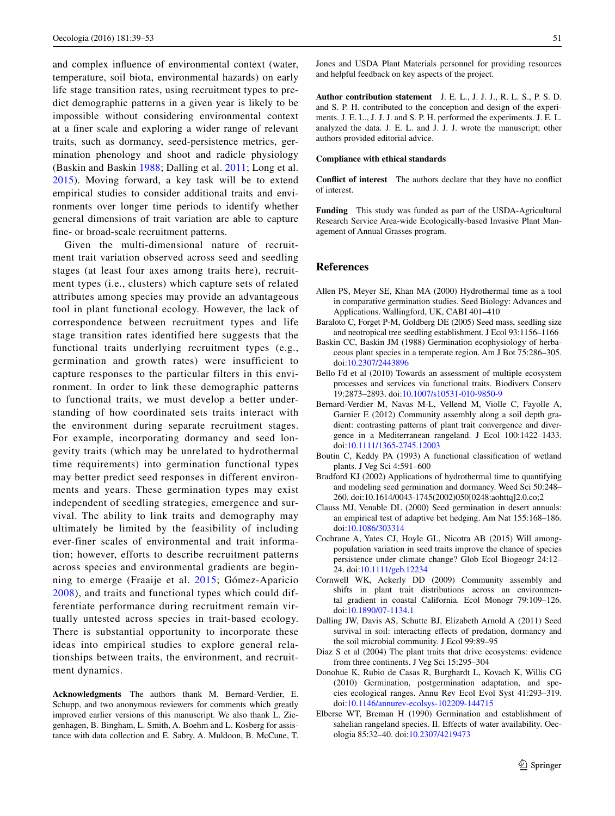and complex influence of environmental context (water, temperature, soil biota, environmental hazards) on early life stage transition rates, using recruitment types to predict demographic patterns in a given year is likely to be impossible without considering environmental context at a finer scale and exploring a wider range of relevant traits, such as dormancy, seed-persistence metrics, germination phenology and shoot and radicle physiology (Baskin and Baskin [1988;](#page-12-12) Dalling et al. [2011;](#page-12-13) Long et al. [2015\)](#page-13-41). Moving forward, a key task will be to extend empirical studies to consider additional traits and environments over longer time periods to identify whether general dimensions of trait variation are able to capture fine- or broad-scale recruitment patterns.

Given the multi-dimensional nature of recruitment trait variation observed across seed and seedling stages (at least four axes among traits here), recruitment types (i.e., clusters) which capture sets of related attributes among species may provide an advantageous tool in plant functional ecology. However, the lack of correspondence between recruitment types and life stage transition rates identified here suggests that the functional traits underlying recruitment types (e.g., germination and growth rates) were insufficient to capture responses to the particular filters in this environment. In order to link these demographic patterns to functional traits, we must develop a better understanding of how coordinated sets traits interact with the environment during separate recruitment stages. For example, incorporating dormancy and seed longevity traits (which may be unrelated to hydrothermal time requirements) into germination functional types may better predict seed responses in different environments and years. These germination types may exist independent of seedling strategies, emergence and survival. The ability to link traits and demography may ultimately be limited by the feasibility of including ever-finer scales of environmental and trait information; however, efforts to describe recruitment patterns across species and environmental gradients are beginning to emerge (Fraaije et al. [2015;](#page-13-42) Gómez-Aparicio [2008](#page-13-6)), and traits and functional types which could differentiate performance during recruitment remain virtually untested across species in trait-based ecology. There is substantial opportunity to incorporate these ideas into empirical studies to explore general relationships between traits, the environment, and recruitment dynamics.

**Acknowledgments** The authors thank M. Bernard-Verdier, E. Schupp, and two anonymous reviewers for comments which greatly improved earlier versions of this manuscript. We also thank L. Ziegenhagen, B. Bingham, L. Smith, A. Boehm and L. Kosberg for assistance with data collection and E. Sabry, A. Muldoon, B. McCune, T. Jones and USDA Plant Materials personnel for providing resources and helpful feedback on key aspects of the project.

**Author contribution statement** J. E. L., J. J. J., R. L. S., P. S. D. and S. P. H. contributed to the conception and design of the experiments. J. E. L., J. J. J. and S. P. H. performed the experiments. J. E. L. analyzed the data. J. E. L. and J. J. J. wrote the manuscript; other authors provided editorial advice.

#### **Compliance with ethical standards**

**Conflict of interest** The authors declare that they have no conflict of interest.

**Funding** This study was funded as part of the USDA-Agricultural Research Service Area-wide Ecologically-based Invasive Plant Management of Annual Grasses program.

#### **References**

- <span id="page-12-5"></span>Allen PS, Meyer SE, Khan MA (2000) Hydrothermal time as a tool in comparative germination studies. Seed Biology: Advances and Applications. Wallingford, UK, CABI 401–410
- <span id="page-12-6"></span>Baraloto C, Forget P-M, Goldberg DE (2005) Seed mass, seedling size and neotropical tree seedling establishment. J Ecol 93:1156–1166
- <span id="page-12-12"></span>Baskin CC, Baskin JM (1988) Germination ecophysiology of herbaceous plant species in a temperate region. Am J Bot 75:286–305. doi[:10.2307/2443896](http://dx.doi.org/10.2307/2443896)
- <span id="page-12-0"></span>Bello Fd et al (2010) Towards an assessment of multiple ecosystem processes and services via functional traits. Biodivers Conserv 19:2873–2893. doi:[10.1007/s10531-010-9850-9](http://dx.doi.org/10.1007/s10531-010-9850-9)
- <span id="page-12-1"></span>Bernard-Verdier M, Navas M-L, Vellend M, Violle C, Fayolle A, Garnier E (2012) Community assembly along a soil depth gradient: contrasting patterns of plant trait convergence and divergence in a Mediterranean rangeland. J Ecol 100:1422–1433. doi[:10.1111/1365-2745.12003](http://dx.doi.org/10.1111/1365-2745.12003)
- <span id="page-12-4"></span>Boutin C, Keddy PA (1993) A functional classification of wetland plants. J Veg Sci 4:591–600
- <span id="page-12-3"></span>Bradford KJ (2002) Applications of hydrothermal time to quantifying and modeling seed germination and dormancy. Weed Sci 50:248– 260. doi:10.1614/0043-1745(2002)050[0248:aohttq]2.0.co;2
- <span id="page-12-10"></span>Clauss MJ, Venable DL (2000) Seed germination in desert annuals: an empirical test of adaptive bet hedging. Am Nat 155:168–186. doi[:10.1086/303314](http://dx.doi.org/10.1086/303314)
- <span id="page-12-9"></span>Cochrane A, Yates CJ, Hoyle GL, Nicotra AB (2015) Will amongpopulation variation in seed traits improve the chance of species persistence under climate change? Glob Ecol Biogeogr 24:12– 24. doi[:10.1111/geb.12234](http://dx.doi.org/10.1111/geb.12234)
- <span id="page-12-2"></span>Cornwell WK, Ackerly DD (2009) Community assembly and shifts in plant trait distributions across an environmental gradient in coastal California. Ecol Monogr 79:109–126. doi[:10.1890/07-1134.1](http://dx.doi.org/10.1890/07-1134.1)
- <span id="page-12-13"></span>Dalling JW, Davis AS, Schutte BJ, Elizabeth Arnold A (2011) Seed survival in soil: interacting effects of predation, dormancy and the soil microbial community. J Ecol 99:89–95
- <span id="page-12-7"></span>Diaz S et al (2004) The plant traits that drive ecosystems: evidence from three continents. J Veg Sci 15:295–304
- <span id="page-12-8"></span>Donohue K, Rubio de Casas R, Burghardt L, Kovach K, Willis CG (2010) Germination, postgermination adaptation, and species ecological ranges. Annu Rev Ecol Evol Syst 41:293–319. doi[:10.1146/annurev-ecolsys-102209-144715](http://dx.doi.org/10.1146/annurev-ecolsys-102209-144715)
- <span id="page-12-11"></span>Elberse WT, Breman H (1990) Germination and establishment of sahelian rangeland species. II. Effects of water availability. Oecologia 85:32–40. doi[:10.2307/4219473](http://dx.doi.org/10.2307/4219473)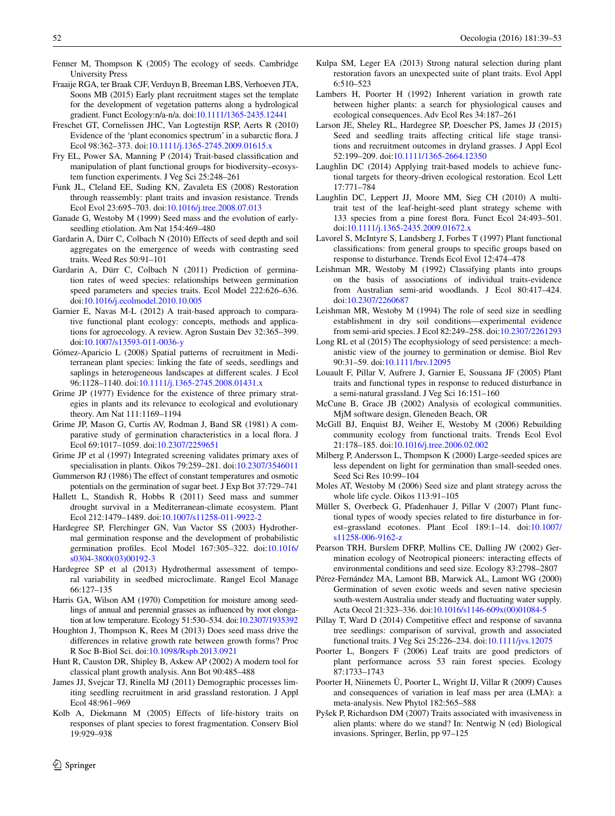- <span id="page-13-24"></span>Fenner M, Thompson K (2005) The ecology of seeds. Cambridge University Press
- <span id="page-13-42"></span>Fraaije RGA, ter Braak CJF, Verduyn B, Breeman LBS, Verhoeven JTA, Soons MB (2015) Early plant recruitment stages set the template for the development of vegetation patterns along a hydrological gradient. Funct Ecology:n/a-n/a. doi[:10.1111/1365-2435.12441](http://dx.doi.org/10.1111/1365-2435.12441)
- <span id="page-13-32"></span>Freschet GT, Cornelissen JHC, Van Logtestijn RSP, Aerts R (2010) Evidence of the 'plant economics spectrum' in a subarctic flora. J Ecol 98:362–373. doi:[10.1111/j.1365-2745.2009.01615.x](http://dx.doi.org/10.1111/j.1365-2745.2009.01615.x)
- <span id="page-13-26"></span>Fry EL, Power SA, Manning P (2014) Trait-based classification and manipulation of plant functional groups for biodiversity–ecosystem function experiments. J Veg Sci 25:248–261
- <span id="page-13-2"></span>Funk JL, Cleland EE, Suding KN, Zavaleta ES (2008) Restoration through reassembly: plant traits and invasion resistance. Trends Ecol Evol 23:695–703. doi:[10.1016/j.tree.2008.07.013](http://dx.doi.org/10.1016/j.tree.2008.07.013)
- <span id="page-13-15"></span>Ganade G, Westoby M (1999) Seed mass and the evolution of earlyseedling etiolation. Am Nat 154:469–480
- <span id="page-13-16"></span>Gardarin A, Dürr C, Colbach N (2010) Effects of seed depth and soil aggregates on the emergence of weeds with contrasting seed traits. Weed Res 50:91–101
- <span id="page-13-9"></span>Gardarin A, Dürr C, Colbach N (2011) Prediction of germination rates of weed species: relationships between germination speed parameters and species traits. Ecol Model 222:626–636. doi[:10.1016/j.ecolmodel.2010.10.005](http://dx.doi.org/10.1016/j.ecolmodel.2010.10.005)
- <span id="page-13-0"></span>Garnier E, Navas M-L (2012) A trait-based approach to comparative functional plant ecology: concepts, methods and applications for agroecology. A review. Agron Sustain Dev 32:365–399. doi[:10.1007/s13593-011-0036-y](http://dx.doi.org/10.1007/s13593-011-0036-y)
- <span id="page-13-6"></span>Gómez-Aparicio L (2008) Spatial patterns of recruitment in Mediterranean plant species: linking the fate of seeds, seedlings and saplings in heterogeneous landscapes at different scales. J Ecol 96:1128–1140. doi:[10.1111/j.1365-2745.2008.01431.x](http://dx.doi.org/10.1111/j.1365-2745.2008.01431.x)
- <span id="page-13-33"></span>Grime JP (1977) Evidence for the existence of three primary strategies in plants and its relevance to ecological and evolutionary theory. Am Nat 111:1169–1194
- <span id="page-13-19"></span>Grime JP, Mason G, Curtis AV, Rodman J, Band SR (1981) A comparative study of germination characteristics in a local flora. J Ecol 69:1017–1059. doi[:10.2307/2259651](http://dx.doi.org/10.2307/2259651)
- <span id="page-13-17"></span>Grime JP et al (1997) Integrated screening validates primary axes of specialisation in plants. Oikos 79:259–281. doi[:10.2307/3546011](http://dx.doi.org/10.2307/3546011)
- <span id="page-13-13"></span>Gummerson RJ (1986) The effect of constant temperatures and osmotic potentials on the germination of sugar beet. J Exp Bot 37:729–741
- <span id="page-13-28"></span>Hallett L, Standish R, Hobbs R (2011) Seed mass and summer drought survival in a Mediterranean-climate ecosystem. Plant Ecol 212:1479–1489. doi:[10.1007/s11258-011-9922-2](http://dx.doi.org/10.1007/s11258-011-9922-2)
- <span id="page-13-22"></span>Hardegree SP, Flerchinger GN, Van Vactor SS (2003) Hydrothermal germination response and the development of probabilistic germination profiles. Ecol Model 167:305–322. doi[:10.1016/](http://dx.doi.org/10.1016/s0304-3800(03)00192-3) [s0304-3800\(03\)00192-3](http://dx.doi.org/10.1016/s0304-3800(03)00192-3)
- <span id="page-13-23"></span>Hardegree SP et al (2013) Hydrothermal assessment of temporal variability in seedbed microclimate. Rangel Ecol Manage 66:127–135
- <span id="page-13-14"></span>Harris GA, Wilson AM (1970) Competition for moisture among seedlings of annual and perennial grasses as influenced by root elongation at low temperature. Ecology 51:530–534. doi[:10.2307/1935392](http://dx.doi.org/10.2307/1935392)
- <span id="page-13-27"></span>Houghton J, Thompson K, Rees M (2013) Does seed mass drive the differences in relative growth rate between growth forms? Proc R Soc B-Biol Sci. doi[:10.1098/Rspb.2013.0921](http://dx.doi.org/10.1098/Rspb.2013.0921)
- <span id="page-13-21"></span>Hunt R, Causton DR, Shipley B, Askew AP (2002) A modern tool for classical plant growth analysis. Ann Bot 90:485–488
- <span id="page-13-7"></span>James JJ, Svejcar TJ, Rinella MJ (2011) Demographic processes limiting seedling recruitment in arid grassland restoration. J Appl Ecol 48:961–969
- <span id="page-13-39"></span>Kolb A, Diekmann M (2005) Effects of life-history traits on responses of plant species to forest fragmentation. Conserv Biol 19:929–938
- <span id="page-13-35"></span>Kulpa SM, Leger EA (2013) Strong natural selection during plant restoration favors an unexpected suite of plant traits. Evol Appl 6:510–523
- <span id="page-13-4"></span>Lambers H, Poorter H (1992) Inherent variation in growth rate between higher plants: a search for physiological causes and ecological consequences. Adv Ecol Res 34:187–261
- <span id="page-13-37"></span>Larson JE, Sheley RL, Hardegree SP, Doescher PS, James JJ (2015) Seed and seedling traits affecting critical life stage transitions and recruitment outcomes in dryland grasses. J Appl Ecol 52:199–209. doi[:10.1111/1365-2664.12350](http://dx.doi.org/10.1111/1365-2664.12350)
- <span id="page-13-3"></span>Laughlin DC (2014) Applying trait-based models to achieve functional targets for theory-driven ecological restoration. Ecol Lett 17:771–784
- <span id="page-13-30"></span>Laughlin DC, Leppert JJ, Moore MM, Sieg CH (2010) A multitrait test of the leaf-height-seed plant strategy scheme with 133 species from a pine forest flora. Funct Ecol 24:493–501. doi[:10.1111/j.1365-2435.2009.01672.x](http://dx.doi.org/10.1111/j.1365-2435.2009.01672.x)
- <span id="page-13-20"></span>Lavorel S, McIntyre S, Landsberg J, Forbes T (1997) Plant functional classifications: from general groups to specific groups based on response to disturbance. Trends Ecol Evol 12:474–478
- <span id="page-13-18"></span>Leishman MR, Westoby M (1992) Classifying plants into groups on the basis of associations of individual traits-evidence from Australian semi-arid woodlands. J Ecol 80:417–424. doi[:10.2307/2260687](http://dx.doi.org/10.2307/2260687)
- <span id="page-13-8"></span>Leishman MR, Westoby M (1994) The role of seed size in seedling establishment in dry soil conditions—experimental evidence from semi-arid species. J Ecol 82:249–258. doi:[10.2307/2261293](http://dx.doi.org/10.2307/2261293)
- <span id="page-13-41"></span>Long RL et al (2015) The ecophysiology of seed persistence: a mechanistic view of the journey to germination or demise. Biol Rev 90:31–59. doi:[10.1111/brv.12095](http://dx.doi.org/10.1111/brv.12095)
- <span id="page-13-38"></span>Louault F, Pillar V, Aufrere J, Garnier E, Soussana JF (2005) Plant traits and functional types in response to reduced disturbance in a semi-natural grassland. J Veg Sci 16:151–160
- <span id="page-13-25"></span>McCune B, Grace JB (2002) Analysis of ecological communities. MjM software design, Gleneden Beach, OR
- <span id="page-13-1"></span>McGill BJ, Enquist BJ, Weiher E, Westoby M (2006) Rebuilding community ecology from functional traits. Trends Ecol Evol 21:178–185. doi[:10.1016/j.tree.2006.02.002](http://dx.doi.org/10.1016/j.tree.2006.02.002)
- <span id="page-13-11"></span>Milberg P, Andersson L, Thompson K (2000) Large-seeded spices are less dependent on light for germination than small-seeded ones. Seed Sci Res 10:99–104
- <span id="page-13-10"></span>Moles AT, Westoby M (2006) Seed size and plant strategy across the whole life cycle. Oikos 113:91–105
- <span id="page-13-40"></span>Müller S, Overbeck G, Pfadenhauer J, Pillar V (2007) Plant functional types of woody species related to fire disturbance in forest–grassland ecotones. Plant Ecol 189:1–14. doi[:10.1007/](http://dx.doi.org/10.1007/s11258-006-9162-z) [s11258-006-9162-z](http://dx.doi.org/10.1007/s11258-006-9162-z)
- <span id="page-13-12"></span>Pearson TRH, Burslem DFRP, Mullins CE, Dalling JW (2002) Germination ecology of Neotropical pioneers: interacting effects of environmental conditions and seed size. Ecology 83:2798–2807
- <span id="page-13-31"></span>Pérez-Fernández MA, Lamont BB, Marwick AL, Lamont WG (2000) Germination of seven exotic weeds and seven native speciesin south-western Australia under steady and fluctuating water supply. Acta Oecol 21:323–336. doi:[10.1016/s1146-609x\(00\)01084-5](http://dx.doi.org/10.1016/s1146-609x(00)01084-5)
- <span id="page-13-36"></span>Pillay T, Ward D (2014) Competitive effect and response of savanna tree seedlings: comparison of survival, growth and associated functional traits. J Veg Sci 25:226–234. doi[:10.1111/jvs.12075](http://dx.doi.org/10.1111/jvs.12075)
- <span id="page-13-5"></span>Poorter L, Bongers F (2006) Leaf traits are good predictors of plant performance across 53 rain forest species. Ecology 87:1733–1743
- <span id="page-13-29"></span>Poorter H, Niinemets Ü, Poorter L, Wright IJ, Villar R (2009) Causes and consequences of variation in leaf mass per area (LMA): a meta-analysis. New Phytol 182:565–588
- <span id="page-13-34"></span>Pyšek P, Richardson DM (2007) Traits associated with invasiveness in alien plants: where do we stand? In: Nentwig N (ed) Biological invasions. Springer, Berlin, pp 97–125